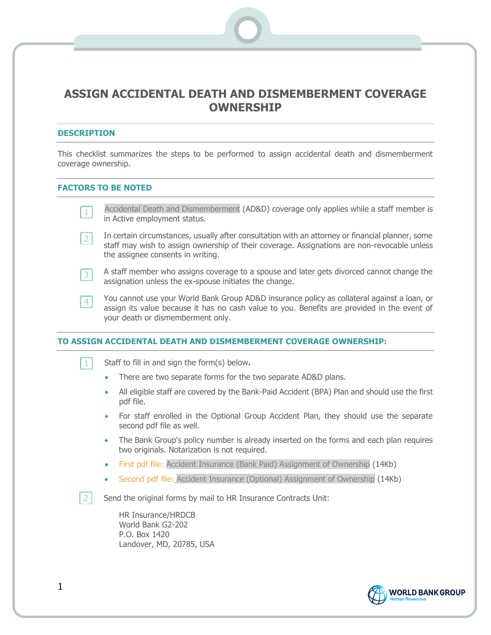# **ASSIGN ACCIDENTAL DEATH AND DISMEMBERMENT COVERAGE OWNERSHIP**

#### **DESCRIPTION**

This checklist summarizes the steps to be performed to assign accidental death and dismemberment coverage ownership.

#### **FACTORS TO BE NOTED**

|  | Accidental Death and Dismemberment (AD&D) coverage only applies while a staff member is |  |  |  |  |
|--|-----------------------------------------------------------------------------------------|--|--|--|--|
|  | in Active employment status.                                                            |  |  |  |  |

- In certain circumstances, usually after consultation with an attorney or financial planner, some  $\overline{2}$ staff may wish to assign ownership of their coverage. Assignations are non-revocable unless the assignee consents in writing.
- A staff member who assigns coverage to a spouse and later gets divorced cannot change the  $3<sup>1</sup>$ assignation unless the ex-spouse initiates the change.
- You cannot use your World Bank Group AD&D insurance policy as collateral against a loan, or  $4$ assign its value because it has no cash value to you. Benefits are provided in the event of your death or dismemberment only.

## **TO ASSIGN ACCIDENTAL DEATH AND DISMEMBERMENT COVERAGE OWNERSHIP:**

 $\mathbf{1}$ Staff to fill in and sign the form(s) below**.**

- There are two separate forms for the two separate AD&D plans.
- All eligible staff are covered by the Bank-Paid Accident (BPA) Plan and should use the first pdf file.
- For staff enrolled in the Optional Group Accident Plan, they should use the separate second pdf file as well.
- The Bank Group's policy number is already inserted on the forms and each plan requires two originals. Notarization is not required.
- First pdf file: Accident Insurance (Bank Paid) Assignment of Ownership (14Kb)
- Second pdf file: Accident Insurance (Optional) Assignment of Ownership (14Kb)
- Send the original forms by mail to HR Insurance Contracts Unit:  $\overline{2}$

HR Insurance/HRDCB World Bank G2-202 P.O. Box 1420 Landover, MD, 20785, USA